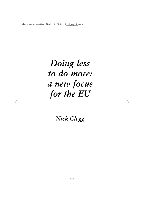clegg essay insides.final  $30/8/00$  5:59 pm Page a

# *Doing less to do more: a new focus for the EU*

*Nick Clegg*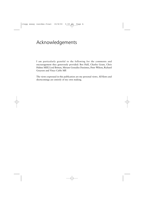# Acknowledgements

I am particularly grateful to the following for the comments and encouragement they generously provided: Ben Hall, Charles Grant, Chris Huhne MEP, Lord Brittan, Miriam González Durántez, Peter Wilson, Richard Grayson and Vince Cable MP.

The views expressed in this publication are my personal views. All flaws and shortcomings are entirely of my own making.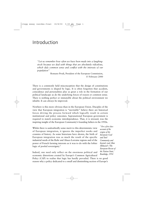# Introduction

*"Let us remember how often we have been made into a laughingstock because we deal with things that are absolutely ridiculous, which defy common sense and conflict with the interests of our population"*

> Romano Prodi, President of the European Commission, 15 February 2000

There is a commonly held misconception that the design of constitutions and governments is shaped by logic. It is often forgotten that accident, coincidence and personalities play as great a role in the formation of our political landscape as do the underlying forces of reason or common sense. There is nothing perfect or immutable about the political environment we inhabit. It can always be improved.

Nowhere is this more obvious than in the European Union. Disciples of the view that European integration is "inevitable" believe there are historical forces driving the process forward which logically result in certain institutional and policy outcomes. Supranational European government is required to match economic interdependence. That, it is stressed, was the inspiring insight of the European Community's founding fathers in the 1950s.

Whilst there is undoubtedly some merit to this deterministic view of European integration, it ignores the imperfect nooks and crannies of history. As some historians have shown, the birth of European integration was as much the result of the specific industrial needs of the Ruhr and Alsace-Lorraine regions and of the power of French farming interests as it was to do with the loftier logic of pooled sovereignty.<sup>1</sup>

*<sup>1</sup> For a first class account of the origins of the European Coal and Steel Community and beyond, read Alan Milward's 'The European Rescue of the Nation State,' Routledge, 1994*

Indeed, one need only reflect on the enormous political and economic distortions created by Europe's Common Agricultural Policy (CAP) to realise that logic has hardly prevailed. There is no good reason why a policy dedicated to a small and diminishing section of Europe's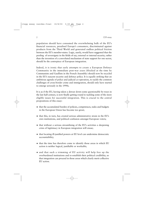population should have consumed the overwhelming bulk of the EU's financial resources, penalised Europe's consumers, discriminated against products from the Third World and generated endless political friction between the EU's member-states. Logic, surely, would have suggested that the pooling of sovereignty in the fields of say, external or internal security, rather than the invention of a convoluted mechanism of state support for one sector, should be the centrepiece of European integration.

Indeed, it is ironic that early attempts to create a European Defence Community in the immediate post-war years (blocked at the time by Communists and Gaullists in the French Assembly) should now be recycled in the EU's nascent security and defence policy. It is equally striking that an ambitious agenda of police and judicial co-operation, to tackle the common challenges of cross-border crime and immigration, should only have started to emerge seriously in the 1990s.

It is as if the EU, having taken a detour down some questionable by-ways in the last half century, is now finally getting round to tackling some of the more eligible issues for successful integration. This is crucial to the central propositions of this essay:

- ★ that the accumulated burden of policies, competences, tasks and budgets in the European Union has become too great;
- ★ that this, in turn, has created serious administrative strain in the EU's own institutions, and political confusion amongst European voters;
- $\star$  that without a serious streamlining of the EU's activities a deepening crisis of legitimacy in European integration will ensue;
- ★ that locating ill-justified powers at EU level can undermine democratic accountability;
- $\star$  that the time has therefore come to identify those areas in which EU action is neither logical, justifiable or workable;
- ★ and that such a trimming of EU activity will help free up the overburdened institutions and re-establish their political credibility, so that integration can proceed in those areas which clearly merit collective EU action.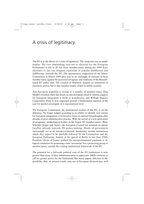# A crisis of legitimacy

The EU is in the throes of a crisis of legitimacy. The symptoms are on ample display. The ever diminishing turn-out in elections for the European Parliament—it fell in all but three member-states during the 1999 Euro elections—is just one eloquent expression of popular disaffection and indifference towards the EU. The ignominious resignation of the Santer Commission in March 1999 gave way to an onslaught of criticism in most member-states against the perceived arrogance and insularity of the Brusselsbased EU policy elite. The Council of Ministers remains an institution of enormous power, but it also remains largely closed to public scrutiny.

Anti-European populism is strong in a number of member-states. Jörg Haider's Freedom Party has struck an anti-European chord in Austria, support for European integration is weak in Scandinavia, and William Hague's Conservative Party is now organised around a fundamental rejection of the case for pooled sovereignty at a supranational level.

The European Commission, the institutional nucleus of the EU, is on the defensive. No longer judged according to its ability to identify new visions for European integration, it is forced to focus on internal housekeeping after decades of poor administrative practice. With the arrival of a new generation of pragmatic, unideological leaders in the largest EU member-states—Blair, Schröder, Jospin and Aznar—the European Council has assumed an almost Gaullist attitude towards EU policy-making. Heads of government increasingly act as an intergovernmental directorate, issuing instructions which they expect to be dutifully followed by the Commission and the European Parliament. Indeed, in his speech in Berlin in late June 2000, President Chirac of France pushed the intergovernmental argument to its logical conclusion by proposing a new 'secretariat' for a pioneering group of member-states, outside the existing institutional framework of the EU.

The potential for a full-scale political rout of the EU institutions is now greater than many of their inhabitants seem to appreciate. MEPs continue to call for greater power for the Parliament. But many appear oblivious to the possibility that, on present trends, turn-out in European elections may well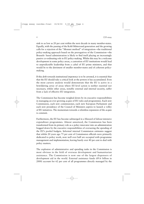sink to as low as 20 per cent within the next decade in many member-states. Equally, with the passing of the Kohl-Mitterrand generation and the growing calls for a rejection of the "Monnet method" of integration—the traditional policy-making approach based on the prerogatives of the Commission—the Brussels- based administration is likely to find itself playing an increasingly passive co-ordinating role in EU policy-making. Whilst this may be a welcome development in some policy areas, a castration of EU institutions would lead to unpredictable leadership from a cabal of EU prime ministers, and that would be to the detriment of smaller member-states and of coherent policymaking.

If this drift towards institutional impotence is to be arrested, it is essential that that the EU should take a critical look at the powers it has accumulated. Even the most cursory analysis would demonstrate that the EU is active in a bewildering array of areas where EU-level action is neither essential nor necessary, whilst other areas, notably external and internal security, suffer from a lack of effective EU integration.

The Commission has become weighed down by its executive responsibilities in managing an ever growing *acquis* of EU rules and programmes. Each new Commission, each new commissioner, each new European Parliament and each new presidency of the Council of Ministers aspires to launch a volley of EU initiatives. The momentum towards a relentless expansion of the *acquis* is constant.

Furthermore, the EU has become submerged in a blizzard of labour-intensive expenditure programmes. Almost unnoticed, the Commission has been transformed from its primary role as a policy innovator into an administration bogged down by the executive responsibilities of overseeing the spending of the EU's pooled budgets. Informal internal Commission estimates suggest that whilst 20 years ago 75 per cent of Commission officials were primarily dedicated to policy work, now well over half are occupied with programme management and implementation, leaving barely over 40 per cent to deal with policy matters.

The explosion of administrative and spending tasks in the Commission is most obvious in the field of overseas development and humanitarian assistance. The Commission is now one of the largest dispensers of development aid in the world. External assistance funds  $(69.6 \text{ billion in}$ 2000) account for 62 per cent of all programmes directly managed by the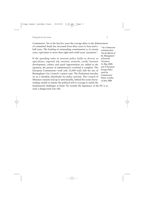Commission. Yet in the last five years the average delay in the disbursement of committed funds has increased from three years to four-and-ahalf years. The backlog of outstanding commitments is, in certain cases, equivalent to more than eight-and-a-half years' payments.2

If the spending tasks in internal policy fields as diverse as agriculture, regional aid, tourism, research, youth, business development, culture and equal opportunities are added to the equation, the picture of administrative overload is complete. The European Commission—with only 23,000 staff, half the size of Birmingham City Council—cannot cope. The Parliament marches on as a relentless cheerleader for policy activism. The Council of Ministers remains tied up in interminable, behind the scenes horsetrading, unable to muster the political will or courage to tackle the fundamental challenges at hand. No wonder the legitimacy of the EU is at such a dangerously low ebb.

*<sup>2</sup> See Commission communication 'On the Reform of the Management of External Assistance', 16 May 2000, and 'A European Foreign Policy', speech by Commissioner Patten, London, 16 June 2000*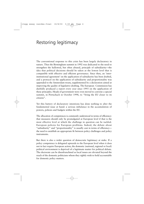### Restoring legitimacy

The conventional response to this crisis has been largely declaratory in nature. Thus the Birmingham summit in 1992 was dedicated to the need to strengthen the hallowed, but often abused, principle of subsidiarity—the idea that political decisions should be taken at the lowest level that is compatible with effective and efficient governance. Since then, an 'interinstitutional agreement' on the application of subsidiarity has been drafted, and a protocol on the application of subsidiarity and proportionality was appended to the Amsterdam treaty, supplemented by a declaration aimed at improving the quality of legislative drafting. The European Commission has dutifully produced a report every year since 1993 on the application of these principles. Heads of government were even moved to convene a special summit, in Pörtschach in October 1998, to "bring the EU closer to its citizens".

Yet this battery of declaratory intentions has done nothing to alter the fundamental issue at hand: a serious imbalance in the accumulation of powers, policies and budgets within the EU.

The allocation of competences is commonly understood in terms of efficiency: that measures should only be promulgated at European level if that is the most effective level at which the challenge in question can be tackled. European policies for European problems. Indeed, the debate about "subsidiarity" and "proportionality" is usually cast in terms of efficiency the need to establish an appropriate fit between policy challenges and policy instruments.

But there is also a wider question of democratic legitimacy at stake. If a policy competence is delegated upwards to the European level when it does not in fact require European action, the domestic (national, regional or local) political environment is deprived of a legitimate matter for political debate. The electorate can be disenfranchised as local issues are elevated beyond the reach of the domestic politicians whom they rightly wish to hold accountable for domestic policy matters.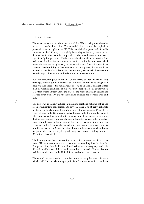The recent debate about the extension of the EU's working time directive serves as a useful illustration. The amended directive is to be applied to junior doctors throughout the EU. This has elicited a great deal of media comment in the UK and, to a slightly lesser degree, Ireland, where junior doctors are in short supply compared to other member-states and work significantly longer hours. Understandably, the medical profession has welcomed the directive as a means by which the burden on overworked junior doctors can be lightened, and most politicians from all parties have accepted the desirability of the directive. As a consequence, discussions have focused on the detailed substance of the proposal, particularly the transition periods required by Britain and Ireland for its implementation.

Yet a fundamental question remains, on the merits of applying EU working time legislation to junior doctors at all. It would be difficult to imagine an issue which is closer to the main arteries of local and national political debate than the working conditions of junior doctors, particularly in a country such as Britain where anxiety about the state of the National Health Service has reached fever pitch. On exactly these kinds of issues are elections won and lost.

The electorate is entirely justified in turning to local and national politicians for improvements to their local health services. There is no objective rationale for European legislation on the working hours of junior doctors. When I have asked officials in the Commission and colleagues in the European Parliament why they are enthusiastic about the extension of the directive to junior doctors, two responses are usually given: that citizens from other memberstates should expect a high minimal level of service from junior doctors elsewhere in the EU when they travel; and that since national governments of different parties in Britain have failed to curtail excessive working hours for junior doctors, it is a jolly good thing that Europe is filling in where Westminster has failed.

The first argument bears no scrutiny. If the uniform treatment of travellers from EU member-states were to become the standing justification for European action, then the EU would need to intervene in every aspect of daily life and steadily erase all diversity. It would lead to a level of harmonisation well beyond that seen in the United States and other federal systems.

The second response needs to be taken more seriously because it is more widely held. Particularly amongst politicians from parties which have been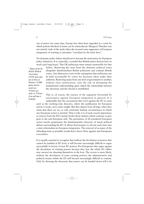8 Second to the contract of the contract of the contract of the contract of the contract of the contract of the contract of the contract of the contract of the contract of the contract of the contract of the contract of th

out of power for some time, Europe has often been regarded as a route by which policies blocked at home can be reintroduced. Margaret Thatcher was not entirely wide of the mark when she accused some supporters of European integration of wanting to introduce "socialism by the back door".

Yet domestic policy failure should never become the motivation for European policy initiatives. It is, naturally, a scandal that British junior doctors have to work such long hours.<sup>3</sup> But UK politicians must remain answerable for that

*<sup>3</sup> Figures from the British Medical Association (1999) show that one in three of Britain's 35,000 junior doctors work over 56 hours per week, or 72 hours if on-call time is included*

failure. Removing the issue from the domestic political arena altogether disenfranchises British politicians and confuses British voters. Any democracy rests on the assumption that politicians can be held accountable by voters for decisions taken under their authority. Removing issues from one level of government to another, without clear justification, runs the risk of disrupting the fundamental understanding upon which the relationship between the electorate and the elected is established.

This is, of course, the essence of the argument forwarded by eurosceptics against European integration in general. It is undeniable that the accusations they level against the EU in cases such as the working time directive, where the justification for European action is weak, carry some weight. But they depart from all logic when they claim that there are no, or only extremely limited, circumstances in which any European action is merited. That is why it is of such crucial importance to remove from the EU's statute books those matters which continue to give grist to the anti-European mill. The persistence of ill-considered European action merely perpetuates the fundamentalist character of much political debate surrounding the EU. It allows Eurosceptics to elevate each issue into a mini-referendum on European integration. The removal of as many of the offending items as possible would deal a heavy blow against anti-Europeans everywhere.

It is equally essential to recognise that without the devolution of powers that cannot be justified at EU level, it will become increasingly difficult to argue successfully in favour of new EU powers. Pro-Europeans who argue against the devolution of existing powers because they fear the whole EU edifice may unravel are shooting themselves in the foot. The reverse is more likely: without the devolution of some existing powers, the administrative and political strains within the EU will become increasingly difficult to contain. Only by showing the electorate that power can be handed down will it be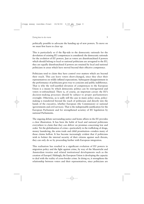politically possible to advocate the handing up of new powers. To move on we must first learn to clear up.

This is particularly so if the flip-side to the democratic rationale for the devolution of existing EU competences is considered: the democratic rationale for the *evolution* of EU powers. Just as voters are disenfranchised if powers which should belong to local or national politicians are arrogated to the EU, they are equally disenfranchised if powers are retained by local and national politicians in areas which have moved beyond their effective competence.

Politicians tend to claim they have control over matters which are beyond their reach. This can leave voters short-changed, since they elect their representatives on wildly inflated expectations. Subsequent disappointment in the performance of politicians gives way to cynicism and public indifference. That is why the well-justified elevation of competences to the European Union is a means by which democratic politics can be reinvigorated and voters re-enfranchised. There is, of course, an important caveat: the EU's decision-making processes should be subject to proper parliamentary oversight. Otherwise, as is sadly still the case in many policy areas, policymaking is transferred beyond the reach of politicians and directly into the hands of the executive, whether European (the Commission) or national (governments and civil services). That is the indispensable justification for the European Parliament and for strengthened scrutiny of EU legislation by national Parliaments.

The ongoing debate surrounding justice and home affairs in the EU provides a clear illustration. It has been the habit of local and national politicians everywhere to claim that they can deliver on promises concerning law and order. Yet the globalisation of crime—particularly in the trafficking of drugs, money laundering, the arms trade and child prostitution—renders many of those claims hollow. It has become increasingly evident that if politicians wish to bolster the internal security of their citizens against such threats, they can only do so by proceeding further with European integration.

This realisation has resulted in a significant evolution of EU powers in migration policy and the fight against crime, by way of the Maastricht and Amsterdam treaties and related institutional developments such as the creation of Europol. Haltingly, the European Union is developing the capacity to deal with the reality of cross-border crime. In doing so, it strengthens the relationship between voters and their representatives, since politicians are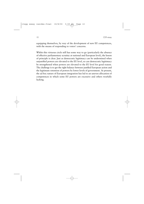equipping themselves, by way of the development of new EU competences, with the means of responding to voters' concerns.

Whilst this virtuous circle still has some way to go (particularly the absence of effective parliamentary scrutiny at national and European level), the lesson of principle is clear. Just as democratic legitimacy can be undermined when unjustified powers are elevated to the EU level, so can democratic legitimacy be strengthened when powers are elevated to the EU level for good reason. The challenge is to get the right balance between justified European action and the legitimate retention of powers by lower levels of government. At present, the ad hoc nature of European integration has led to an uneven allocation of competences in which some EU powers are excessive and others woefully lacking.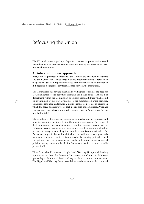### Refocusing the Union

The EU should adopt a package of specific, concrete proposals which would streamline its over-stretched statute book and free up resources in its overburdened institutions.

### **An inter-institutional approach**

First, all three principal institutions—the Council, the European Parliament and the Commission—must forge a strong inter-institutional approach to the problem. Such an important exercise cannot be successfully undertaken if it becomes a subject of territorial debate between the institutions.

The Commission has already signalled its willingness to look at the need for a rationalisation of its activities. Romano Prodi has asked each head of department within the Commission to identify responsibilities which could be streamlined if the staff available to the Commission were reduced. Commissioners have undertaken a novel exercise of peer group review, in which the focus and resources of each policy area are scrutinised. Prodi has also promised to produce a more wide-ranging paper on "governance" in the first half of 2001.

The problem is that such an ambitious rationalisation of resources and priorities cannot be achieved by the Commission on its own. The results of the Commission's internal deliberations have far-reaching consequences for EU policy-making in general. It is doubtful whether the outside world will be prepared to accept a new blueprint from the Commission uncritically. The Parliament, in particular, will be disinclined to swallow extensive proposals from an executive over which it is supposed to be exerting political control and guidance. And member-states are hardly in the mood to receive radical political musings from the head of a Commission which has not yet fully proved itself.

Thus Prodi should convene a High Level Working Group with leading representatives from the European Parliament, the Council of Ministers (preferably at Ministerial level) and key academics and/or commentators. The High Level Working Group would draw on the work already conducted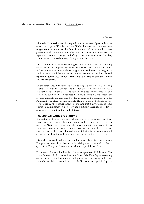within the Commission and aim to produce a concrete set of proposals to reorient the scope of EU policy-making. Whilst this may seem an unwelcome suggestion at a time when the Council is embroiled in yet another intergovernmental conference, and when the Parliament and member-state representatives are submerged in drafting a Charter of Fundamental Rights, it is an essential procedural step if progress is to be made.

Such a group should be convened urgently and should present its working objectives to the European Council at the Nice Summit at the end of 2000. If the Commission can secure broad support for the direction of the group's work in Nice, it will be in a much stronger position to unveil its planned report on "governance" in 2001 with the tacit blessing of both the Council and the Parliament.

On the other hand, if President Prodi fails to forge a close and formal working relationship with the Council and the Parliament, he will be inviting a sceptical response from both. The Parliament is especially nervous of any perceived assault on EU competences. Prodi must ensure that his endeavours are not automatically interpreted by the apostles of EU integration in the Parliament as an attack on their interests. He must work methodically by way of the High Level Working Group to illustrate that a devolution of some powers is administratively necessary and politically essential, in order to safeguard further integration in the future.

### **The annual work programme**

It is customary that governments make quite a song and dance about their legislative programmes. The annual pomp and ceremony of the Queen's speech at Westminster is perhaps the most elaborate expression of this important moment in any government's political calendar. It is right that governments should be forced to spell out their legislative plans so that a full debate on the direction and content of government policy can take place.

Given that national parliaments now find themselves digesting as much European as domestic leglisation, it is striking that the annual legislative cycle of the European Union remains almost impossible to follow.

For instance, Romano Prodi delivered a major speech on 15 February 2000 to the European Parliament—billed as a 'State of the Union' speech—setting out his political priorities for the coming five years. A lengthy and rather inconclusive debate ensued in which MEPs from each political party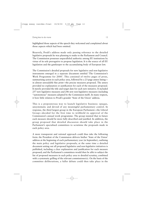highlighted those aspects of the speech they welcomed and complained about those aspects which had been omitted.

Bizarrely, Prodi's address made only passing reference to the detailed legislative proposals he was planning to make to the Parliament and Council. The Commission possesses unparalleled authority among EU institutions by virtue of its sole prerogative to propose legislation. It is the source of all EU legislation and the gatekeeper to the accumulating body of European law.

The Commission's detailed proposals for new legislative and non-legislative instruments emerged in a separate document entitled 'The Commission's Work Programme for 2000'. This consisted of twelve pages of prose, summarising action in each policy area, followed by a 23-page annex listing in almost unreadable fine print—the precise measures proposed. The annex provided no explanation or justification for each of the measures proposed. It merely provided the title and target date for each new initiative. It included 257 new legislative measures and 246 new non-legislative measures (including "autonomous" measures adopted by the Commission itself). In many respects, it bore little relation to Prodi's grander 'State of the Union' address.

This is a preposterous way to launch legislative business: opaque, unsystematic and devoid of any meaningful parliamentary control. In response, the third largest group in the European Parliament—the Liberal Group—decided for the first time to withhold its approval of the Commission's annual work programme. The group insisted that in future each measure should be more fully described and justified. In addition, the group proposed that detailed discussion should take place in the Parliament's specialised committees to scrutinise the proposals made in each policy area.

A more transparent and rational approach could thus take the following form: the President of the Commission delivers his/her 'State of the Union' address at the beginning of each parliamentary year (in September), outlining the main policy and legislative proposals; at the same time a detailed document setting out all proposed legislative and non-legislative initiatives is published, including a clear explanation and justification for each measure proposed; and the Parliament's committees would then be able to subject the list of proposed measures in each policy area to detailed scrutiny, combined with a systematic grilling of the relevant commissioner(s). On the basis of the committee deliberations, a fuller debate could then take place in the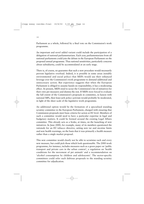14

Parliament as a whole, followed by a final vote on the Commission's work programme.

An important and novel added variant could include the participation of a delegation of national parliamentarians. Each year, parliamentarians from all national parliaments could join the debate in the European Parliament on the proposed annual programme. Thus national sensitivities, particularly concerns about subsidiarity, could be accommodated at an early stage.

There is, of course, no guarantee that such a new procedure would necessarily prevent legislative overload. Indeed, it is possible in some areas (notably environmental and social policy) that MEPs would use their enhanced leverage over the Commission's work programme to demand additional and unnecessary action. But experience suggests that when the European Parliament is obliged to assume hands-on responsibility, it has a moderating effect. At present, MEPs tend to scour the Commission's list of initiatives for their own pet measures and dismiss the rest. If MEPs were forced to evaluate the full extent of the Commission's proposals in committee, in liaison with national MPs, their knee-jerk policy activism would probably be moderated, in light of the sheer scale of the legislative work programme.

An additional option would be the formation of a specialised standing scrutiny committee in the European Parliament, charged with ensuring that Commission proposals meet basic criteria for action at EU level. Members of such a committee would need to have a particular expertise in legal and budgetary matters. It could be formed around the existing Legal Affairs committee. This already acts as a brake, at times, on the launching of new initiatives. In June 2000, for example, many of its members questioned the rationale for an EU tobacco directive, setting new tar and nicotine limits and new health warnings, on the basis that it was primarily a health measure rather than a single market proposal.

This new committee would clearly not be able to scrutinise each and every new measure, but could pick those which look questionable. The 2000 work programme, for instance, includes measures such as a green paper on 'public transport and private cars in the urban context', a regulation on 'health conditions for the movement of pet animals' and a recommendation on 'alcohol consumption by children and adolescents'. The sector-specific committees could refer such dubious proposals to the standing scrutiny committee for adjudication.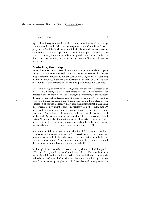Again, there is no guarantee that such a scrutiny committee would encourage a more even-handed parliamentary response to the Commission's work programme. But it is clearly necessary if the Parliament wishes to develop its constitutional role as a proper political check on the right of initiative of the executive. Indeed, it is not impossible to imagine that MEPs would undertake this crucial role with vigour, and so act as a serious filter for all new EU proposals.

### **Controlling the budget**

Money has long played a crucial role in the construction of the European Union. The total sums involved are, in relative terms, very small. The EU budget presently amounts to 1.1 per cent of EU GDP, while total spending by public authorities in the EU is equivalent to 46 per cent of GDP. But how these funds are used remains one of the most potent issues in EU politics.

The Common Agricultural Policy (CAP), which still consumes almost half of the total EU budget, is a permanent thread through all the controversial debates in the EU, from international trade, to enlargement, to the equitable division of national budgetary contributions to the Union's coffers. The Structural Funds, the second largest component of the EU budget, are an expression of political solidarity. They have been instrumental in assuaging the concerns of new member-states, particularly from the South, that EU membership would impose excessive competitive pressures on their economies. Whilst the size of the Structural Funds is small (around a third of the total EU budget), they have assumed an almost sacrosanct political status. No wonder that the most controversial aspects of the enlargement negotiations with the candidate countries are likely to be budgetary in nature, particularly with regard to the eastward extension of the CAP.

It is thus impossible to envisage a spring cleaning of EU competences without addressing the budgetary implications. The overriding need is to ensure that money allocated in the budget relates directly to the priorities identified in the EU's work programme. Policy priorities, not pork barrel politics, should determine whether and how money is spent in the EU.

In this light it is remarkable to note that the preliminary draft budget for 2001, unveiled by the European Commission in May 2000, was the first to be clearly subdivided according to policy areas. Neil Kinnock has recently insisted that the Commission's work should henceforth be guided by "activitybased" management principles, with budgets allocated more precisely to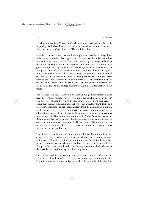activities undertaken. These are clearly welcome developments. But it is surprising that it should have taken so long to introduce the most elementary form of budgetary clarity into the EU's administration.

Equally, it is worth noting that until recently, it was possible for budget lines to be created without a clear "legal base". In other words, budgets could be formed irrespective of whether the activity funded by the budgets related to the formal powers of the EU institutions. In a notorious case, the British government, backed by Germany and Denmark, took the Commission to the European Court of Justice in 1996, to block trial 'social exclusion' grants from being used in the EU's third 'poverty action programme'. London argued that the use of these funds was unwarranted, given the lack of a clear legal base. In 1998, the Court found in favour of the UK (the Commission had in the meantime withdrawn the proposal). This ruling finally clarified the requirement that all EU budget lines should have a legal foundation in the treaty.

Yet old habits die hard. There is a plethora of budget lines without a clear legal base which continue to receive annual replenishment from the EU budget. The wheeze by which MEPs, in particular, have managed to circumvent the ECJ ruling is simple. Pet projects, particularly think-tanks and grass roots organisations, are funded directly from the administrative section of the budget—even though the projects in question are unrelated to the administrative costs of the EU itself. Thus a number of small organisations ranging from the 'Our Europe Association' to the 'Latin American Centre for Relations with Europe' are directly funded by budgets which are supposed to cover the administrative expenses of EU institutions. There are even two budget lines (one created last year) aimed at supporting 'Organisations Advancing the Idea of Europe'.

The financial significance of these dubious budget lines should not be exaggerated. The subsidies granted under the relevant budget heading amount to just over  $\epsilon$ 30 million, a tiny fraction of the total  $\epsilon$ 90 billion budget. But such expenditure, particularly in the hands of the special interests within the European Parliament, is vulnerable to lobbying which bears little relation to the objective merits of the organisations in question.

Parliament's habit of throwing relatively small amounts of money at arbitrarily picked beneficiaries is exacerbated by a tendency in the Commission to attach small budgets to each and every policy initiative. For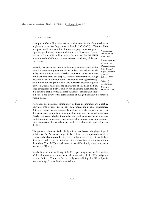example,  $\epsilon$ 300 million was recently allocated by the Commission to implement its Action Programme in health (2001-2006),<sup>4</sup>  $\epsilon$ 50-60 million was proposed in the new fifth framework programme on gender equality (including the establishment of a European Gender Institute),<sup>5</sup> and  $\epsilon$ 20 million was allocated to the DAPHNE programme (2000-2003) to counter violence to children, adolescents and women.<sup>6</sup>

Recently the Parliament's trade and industry committee decided to launch a monitoring exercise of the budget lines related to the policy areas within its remit. The sheer number of hitherto unheard of budget lines came as a surprise to many of its members. Budget lines included  $\epsilon$ 13.8 million for the 'promotion of energy efficiency',  $\epsilon$ 9.8 million for the 'promotion of the European presence in global networks',  $\epsilon$ 29.3 million for the 'stimulation of small and mediumsized enterprises' and  $E14.7$  million for 'enhancing sustainability'. It is doubtful that more than a small handful of officials and MEPs

*<sup>4</sup> Commission announcement, May 2000*

*<sup>5</sup> Presentation by Commissioner Diamantopoulou to the Women's Rights Committee of the EP, February 2000 6 Formally adopted by the Council in*

*December 1999*

in Brussels are aware of the total number of budget lines now in operation within the EU.

Naturally, the intentions behind most of these programmes are laudable. They deal with issues of enormous social, cultural and political significance. But these causes are not necessarily well-served if the impression is given that such token amounts of money will help achieve the stated objectives. Rarely is it asked whether these relatively small sums can make a serious contribution to, for example, the commercial fortunes of small and mediumsized enterprises, of which there are hundreds of thousands scattered across the EU.

The problem, of course, is that budget lines have become the play-things of politicians. The Parliament, in particular, is loath to give up its role as a key arbiter in the allocation of EU *largesse*. Doubts about the viability of budget lines is generally taken as criticism of the objectives of the programmes themselves. Thus MEPs are reluctant to risk vilification by questioning such uses of the EU budget.

Yet the bureaucratic machinery of the EU is groaning under the sheer weight of the administrative burden incurred in executing all the EU's budgetary responsibilities. The case for radically streamlining the EU budget is overwhelming. It could be done as follows: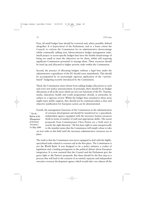First, all small budget lines should be reviewed and, where possible, deleted altogether. It is hypocritical of the Parliament, and to a lesser extent the Council, to criticise the Commission for its administrative shortcomings whilst continually adding new, labour-intensive budget management tasks. Small project or sector-specific budget lines have the double disadvantage of being too small to meet the objectives set for them, whilst still requiring significant Commission personnel to manage them. These resources should be freed up and allocated to higher priority tasks within the Commission.

Second, the practice of allocating budgets without a legal base under the administrative expenditure of the EU should cease immediately. This should be accompanied by an increasingly rigorous application of the "activitybased" budgeting recently introduced by the Commission.

Third, the Commission must refrain from adding budget allocations to each and every new policy announcement. In principle, there should be no budget allocations at all in the areas which are not core functions of the EU. Tourism, media, education, health and youth programmes should, in particular, be subject to a rigorous review. Whilst the budget lines attached to these areas might enjoy public support, they should not be continued unless a clear and objective justification for European action can be demonstrated.

*<sup>7</sup> 'On the Reform of the Management of External Assistance', 16 May 2000*

Fourth, the management functions of the Commission in the administration of overseas development aid should be transferred to a specialised, independent agency equipped with the necessary human resources (both in terms of number of staff and appropriate skills). The recent proposals from Commissioner Chris Patten are a bold start in exactly the right direction.<sup>7</sup> He has been right to state unequivocally to the member-states that the Commission will simply refuse to take on new tasks in this field until the necessary administrative resources are in

place.

The truth is that the Commission was never equipped to deal with the highlyspecialised tasks related to overseas aid in the first place. The Commission is not the World Bank. It was designed to be a policy initiator, a crafter of legislation and a leading protagonist in the political debate about European integration. It is now essential that the Council and the Parliament give the green light to Mr Patten's proposals. But these should be the first step in a process that will lead to the creation of an entirely separate and independent executive overseas development agency which would take over almost all the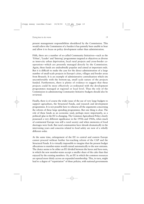present management responsibilities shouldered by the Commission. This would relieve the Commission of a burden it has patently been unable to bear and allow it to focus on policy development rather than administration.

Fifth, there are a number of so-called Community Initiatives—such as the 'Urban', 'Leader' and 'Interreg' programmes targeted at objectives as diverse as inner-city urban deprivation, local rural projects and cross-border cooperation—which are presently managed directly by the Commission. Again, these funds are undoubtedly popular and aimed at important ends. But it is difficult to make the case for the direct administration of a large number of small-scale projects in Europe's cities, villages and border areas from Brussels. It is an example of administrative centralisation which sits uncomfortably with the bottom-up, small scale nature of the projects funded. Furthermore, there is plenty of evidence to suggest that these projects could be more effectively co-ordinated with the development programmes managed at regional or local level. Thus the role of the Commission in administering Community Initiative budgets should also be reviewed.

Finally, there is of course the wider issue of the use of very large budgets to support agriculture, the Structural Funds, and research and development programmes. It is not possible here to rehearse all the arguments concerning the reform of these large spending programmes. But one thing is clear. The role of these funds as an economic (and, perhaps more importantly, as a political) glue in the EU is changing. The Common Agricultural Policy clearly possessed a very different significance in the 1950s and 1960s, when much of continental Europe was still a rural society and when memories of food shortages were fresh. But rural communities have shrunk dramatically in the intervening years and concerns related to food safety are now of a wholly different order.

At the same time, enlargement of the EU to central and eastern Europe cannot proceed without further far-reaching reform of the CAP and the Structural Funds. It is virtually impossible to imagine that the present budget allocations to member-states would extend automatically to the new entrants. The choice seems to be either an EU divided between the haves and have-nots, in which the new member-states accept a smaller share of the cake than that enjoyed by the existing members. Or, an EU in which the common resources are spread more thinly across an expanded membership. This, in turn, might lead to a degree of "repatriation" of these policies, with national governments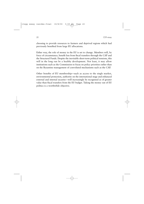choosing to provide resources to farmers and deprived regions which had previously benefited from large EU allocations.

Either way, the role of money in the EU is set to change. Members will, by force of circumstance, benefit less from fiscal transfers through the CAP and the Structural Funds. Despite the inevitable short-term political tensions, this will in the long run be a healthy development. Not least, it may allow institutions such as the Commission to focus on policy priorities rather than on the Byzantine management of convoluted mechanisms such as the CAP.

Other benefits of EU membership—such as access to the single market, environmental protection, authority on the international stage and enhanced external and internal security—will increasingly be recognised as of greater value than fiscal transfers from the EU budget. Taking the money out of EU politics is a worthwhile objective.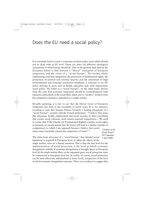### Does the EU need a social policy?

It is extremely hard to reach a consensus on those policy areas which should not be dealt with at EU level. There are, after all, different ideological conceptions of what Europe should do. One of the greatest fault lines in the European debate is that between a "liberal" conception of European integration, and the vision of a "social Europe". The former, whilst emphasising economic integration, the protection of fundamental rights, the promotion of internal and external security and the attainment of high environmental and consumer protection standards, is reluctant to see EU policy activism in areas such as health, education and, most importantly, social policy. The belief in a "social Europe", on the other hand, derives from the view that economic integration should be counterbalanced with measures, particularly in the social field, which aim to "protect" workers from the competitive pressures unleashed in a single market.

Broadly speaking, it is fair to say that the liberal vision of European integration has been in the ascendant in recent years. It is, for instance, revealing to note that Jacques Delors, formerly a leading proponent of a "social Europe", recently told the French parliament: "I believe that areas like education, health, employment and social security, in short everything that creates social cohesion, must remain national competences… We need to realise that if the Charter [of Fundamental Rights] contains social rights as foreseen, its incorporation into the treaty will lead to a further transfer of competences, to which I am opposed, because I believe that social issues must essentially remain the competence of states".8

*<sup>8</sup> Evidence to the French Senate's EU Committee 5 April 2000*

The claim from advocates of a "social Europe" that detailed social legislation is required at European level, to offset the effects of the single market, rests on a flawed assertion. This is that the best level for the implementation of social protection is the level at which economic deregulation unfolds. If economic deregulation is brought about at European level by the single market then, so the argument goes, social protection must be constructed at European level too. In reality, of course, social protection can be most effectively administered at lower levels, irrespective of the level at which economic deregulation operates. There is no evidence to suggest that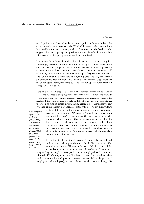social policy must "match" wider economic policy in Europe. Indeed, the experience of those economies in the EU which have succeeded in optimising both welfare and employment, such as Denmark and the Netherlands, suggests that social policy will produce the most beneficial results when administered at the appropriate national and local level.

The uncomfortable truth is that the call for an EU social policy has increasingly become a political *leitmotif* for many on the left, rather than anything to do with objective considerations. The heavy emphasis placed on a "social agenda" during the French Presidency of the EU in the second half of 2000 is, for instance, as much a rhetorical sop to the government's Socialist and Communist backbenchers as anything else. Indeed, the French government has been strikingly slow to produce any concrete suggestions for the social agenda itself, preferring to leave the floor open to ideas from the European Commission.

Fans of a "social Europe" also assert that without minimum guarantees across the EU, "social dumping" will occur, with investors gravitating towards economies with low social standards. Again, this argument bears little scrutiny. If this were the case, it would be difficult to explain why, for instance, the stock of foreign direct investment is, according to authoritative new evidence, rising sharply in France, a country with notoriously high welfare

*9 According to a report by Ernst & Young (May 2000), the UK's share of new inward investment in Europe dipped from 28 to 24 per cent in 1999, whilst the share won by France jumped from 12 to 18 per cent*

costs, and dropping in the United Kingdom, a country commonly accused of maintaining "Dickensian" social provisions by its continental critics.<sup>9</sup> It also ignores the complex reasons why companies choose to locate their investments in the way they do. There is ample evidence to suggest that monetary policy, high educational standards, sound transport and communications infrastructure, language, cultural factors and geographical location all outweigh simple labour (and non-wage) cost calculations when investment decisions are made.

The wobbly intellectual foundations of EU social policy are reflected in the measures already on the statute book. Since the mid-1990s, around a dozen new EU laws in the social field have entered the statute book. Some are eminently sensible, such as a 1998 directive

safeguarding the supplementary pensions of self-employed workers moving within the EU. Others, such as the directives on parental leave and part-time work, were the subject of agreement between the so called "social partners" (employers and employees), and so at least have the virtue of being self-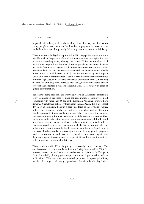imposed. Still others, such as the working time directive, the directive on young people at work, or even the directive on pregnant workers, may be laudable in intention, but patently fail on any reasonable test of subsidiarity.

There are around 20 legislative proposals still in the pipeline. Again, some are sensible, such as the package of anti-discrimination framework legislation that is currently wending its way through the system. Whilst the more hysterical British newspapers have branded these proposals as the latest *dirigiste* onslaught from Brussels against Anglo-Saxon entrepreneurialism, the truth is more mundane. Most of the measures either enshrine practices which already prevail in the UK (and the US), or codify case law established by the European Court of Justice. Accusations that the anti-racism directive overturns centuries of British legal custom by reversing the burden of proof (and thus condemning the innocent until they have disproved their guilt), overlook the shared burden of proof that operates in UK civil discrimination cases, notably in cases of gender discrimination.

Yet other pending proposals are worryingly cavalier. A notable example is a 1998 Commission proposal to make the consultation of employees in all companies with more than 50 (or, if the European Parliament were to have its way, 30) employees obligatory throughout the EU. Again, this is a proposal driven by an ideological belief in a particular form of employment practice, rather than a considered analysis of the best level at which such an obligation should operate. As it happens, I am a strong believer in greater transparency and accountability in the way that employers take decisions governing their workforce, and I believe that statutory enforcement is required. But I would find it impossible to explain to a local family firm, which is unlikely to have any commercial connection whatsoever with the Single Market, why the obligation to consult internally should emanate from Europe. Equally, whilst I welcome binding standards governing the work of young people, pregnant workers, junior doctors and lorry drivers, I would be at a loss to explain why their working conditions are now the responsibility of European institutions, rather than local or national politicians.

These tensions within EU social policy have recently come to the fore. The conclusions of the Lisbon and Feira Summits during the first half of 2000, for instance, stressed the need for the modernisation and reform of the European "social model", placing great emphasis on an "open method of coordination". This welcome new method purports to deploy guidelines, benchmarks, targets and peer group review rather than detailed legislation.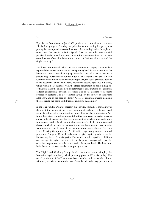Equally, the Commission in June 2000 produced a communication on a new "Social Policy Agenda" setting out priorities for the coming five years, also placing heavy emphasis on co-ordination rather than legislation. It explicitly stated that "this new Social Policy Agenda does not seek to harmonise social policies. It seeks to work towards common European objectives and increase co-ordination of social policies in the context of the internal market and the single currency."

Yet during the internal debate on the Commission's paper, it was widely reported that some Commissioners were pushing hard for the inclusion of the harmonisation of fiscal policy (presumably related to social security provisions). Furthermore, whilst much of the explanatory prose in the Commission communication is beyond reproach, the list of proposed actions in the document's annex could easily evolve into specific legislative initiatives, which would be at variance with the stated attachment to non-binding coordination. Thus the annex includes references to consultations on "common criteria concerning sufficient resources and social assistance in social protection systems", to a "reflection group on the future of industrial relations", and to the need to identify "areas of common interest including those offering the best possibilities for collective bargaining".

In the long run, the EU must radically simplify its approach. It should pursue the orientation set out at the Lisbon Summit and settle for a coherent social policy based on policy co-ordination rather than legislative obligation. Any future legislation should be horizontal, rather than issue- or sector-specific, aimed only at promoting the free movement of workers and enshrining fundamental rights (such as anti-discrimination). Ideally, the misguided directives which have already entered the statute book should, over time, be withdrawn, perhaps by way of the introduction of sunset clauses. The High Level Working Group and Mr Prodi's white paper on governance should propose a European Council declaration to give explicit guidance on the limits to any future EU social policy. This should include a specific prohibition on issue-specific legislation (unless it can be proved categorically that the objective in question can only be attained at European level). The bias must be in favour of reticence rather than policy activism.

The High Level Working Group should also endeavour to simplify the Byzantine legal complexity which presently governs EU social policy. The social provisions of the Treaty have been amended and re-amended almost without pause since the introduction of new health and safety provisions in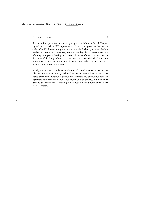the Single European Act, not least by way of the infamous Social Chapter agreed at Maastricht. EU employment policy is also governed by the socalled Cardiff, Luxembourg and, most recently, Lisbon processes. Such a plethora of overlapping initiatives, processes and legal bases makes a mockery of transparent policy development. Ironically, most of them were initiated in the name of the long suffering "EU citizen". It is doubtful whether even a fraction of EU citizens are aware of the actions undertaken to "protect" their social interests at EU level.

Finally, the calls for a wholesale redefinition of "social Europe" by way of the Charter of Fundamental Rights should be strongly resisted. Since one of the stated aims of the Charter is precisely to delineate the boundaries between legitimate European and national action, it would be perverse if it were to be used as an instrument for making these already blurred boundaries all the more confused.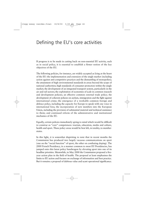## Defining the EU's core activities

If progress is to be made in cutting back on non-essential EU activity, such as in social policy, it is essential to establish a firmer notion of the key objectives of the EU.

The following policies, for instance, are widely accepted as lying at the heart of the EU: the implementation and extension of the single market (including action against anti-competitive practices and the dismantling of monopolies); the attainment of high environmental standards in areas beyond the scope of national authorities; high standards of consumer protection within the single market; the development of an integrated transport system, particularly in the air and rail sectors; the exploitation of economies of scale in common research and development policies; an effective common external trade policy; the development of coherent policies on asylum, immigration and the fight against international crime; the emergence of a workable common foreign and defence policy, including the capacity for Europe to speak with one voice in international fora; the incorporation of new members into the European Union, including the provision of substantial material and technical assistance to them; and continued reform of the administrative and institutional mechanics of the EU.

Equally, certain policies immediately spring to mind which would be difficult to construe as "core" competences: tourism, education, media and culture, health and sport. These policy areas would be best left, in totality, to memberstates.

In this light, it is somewhat dispiriting to note that in recent months the Commission has produced two largely vacuous communications on sport (one on the "social function" of sport, the other on combating doping). The 2000 French Presidency, in a manner common to most EU Presidencies, has jumped onto this latest policy bandwagon by elevating sport into one of its headline priorities. Meanwhile, in May 2000 the Commission proposed a fiveyear action plan in the field of health. The proposal at least emphasises the limits to EU action and focuses on exchange of information and best practice. But it remains a proposal of dubious value and scant operational significance.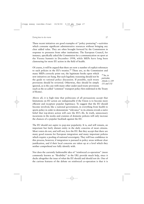These recent initiatives are good examples of "policy posturing"—activities which consume significant administrative resources without bringing any clear added value. They are often brought forward by the Commission in response to pressures from other institutions. The European Council, for instance, specifically asked the Commission for a communication on sport at the Vienna Summit in December 1998, while MEPs have long been clamouring for more EU action in the field of health.

Of course, it will be argued that there are now a number of explicit references to such policies in the EU's treaties.<sup>10</sup> These are, as the Commission and many MEPs correctly point out, the legitimate hooks upon which new initiatives are hung. But such legalistic reasoning should not be the guide to rational policy discussion. If possible, such treaty provisions should be reviewed. Otherwise, they should be simply ignored, as is the case with many other under-used treaty provisions (such as the so-called "common" transport policy first enshrined in the Treaty of Rome). *10 See, in particular, Articles 3, 149 151 and 152*

Above all, it is high time that politicians of all persuasions accept that limitations on EU action are indispensable if the Union is to become more efficient and recapture popular legitimacy. To suggest that the EU should become involved, like a national government, in everything from health to sports policy in order to demonstrate "relevance" to its citizens reveals a naïve belief that top-down action will cure the EU's ills. In truth, unnecessary incursions in the nooks and crannies of domestic policies will only increase the chances of a popular backlash against the EU.

The EU should not aspire to pop-star popularity. It is, and will remain, an important but fairly distant entity in the daily concerns of most citizens. Most voters do not, and will not, love the EU. But they accept that there are many good reasons for European integration and many important policies which require a pooling of national sovereignty. They will lose confidence in this process, however, if integration is pursued in policy areas without clear justification, and if their local concerns are taken up at a level which they neither comprehend nor fully identify with.

Nor does the currently fashionable idea of "reinforced co-operation" (more commonly known as "flexibility" in the UK) provide much help, since it ducks altogether the issue of what the EU should and should not do. One of the curious features of the debate on reinforced co-operation is that it is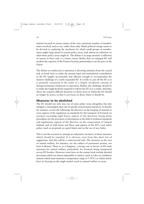entirely focused on means (status of the veto, minimum number of memberstates involved, and so on), rather than ends. Much political energy seems to be devoted to exploring the mechanics by which small groups of memberstates might forge ahead in certain policy areas, with almost no reflection on what those policy areas might be. The debate is in large measure a reflection of unease in Paris and, to a lesser extent, Berlin, that an enlarged EU will weaken the capacity of the Franco-German partnership to set the pace in the Union.

The debate on reinforced co-operation is diverting attention from the crucial task at hand: how to make the present legal and institutional constellation in the EU supple, accountable and efficient enough to accommodate the massive challenge of a vastly expanded EU. It is folly to cast off the EU as it is presently structured in the name of a largely incoherent concept of intergovernmental reinforced co-operation. Rather, the challenge should be to make the tough decisions required to reform the EU as it is today. And that, above all, requires difficult decisions on those areas in which the EU should no longer be active, so that it can focus on those where it should be.

### **Measures to be abolished**

The EU should not only stay out of some policy areas altogether, but also instigate a meaningful clear-out of specific unwarranted initiatives. It should, for instance, review the following: the directive on the keeping of animals in zoos; aspects of the regulation on standards for the transport of livestock on journeys exceeding eight hours; aspects of the directives laying down procedures for the provision of information in the field of technical standards and regulations; aspects of the directive on the conservation of natural habitats and of wild fauna and flora; and aspects of the EU's road safety policy (such as proposals on speed limits and on the use of seat belts).

This is not the occasion to attempt an exhaustive inventory of those measures which should be repealed. It is obvious, even from this short list of suggestions, that this will be a controversial task. The measures in the area of animal welfare, for instance, are the subject of passionate protest, not least in Britain. There is, as it happens, a strong case in favour of EU-wide measures for animal welfare, particularly for livestock being transported across EU borders. However, some laws on the statute book include detailed provisions which are almost impossible to enforce (such as rules on ventilation systems which must maintain a temperature range of 5-30°C) or which clearly have no bearing on the single market (such as animal welfare in zoos).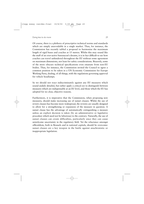Of course, there is a plethora of prescriptive technical norms and standards which are simply unavoidable in a single market. Thus, for instance, the Commission has recently tabled a proposal to harmonise the maximum length of rigid buses and coaches at 15 metres. Whilst this may sound like the stuff of an over-active bureaucrat's dreams, it is in fact difficult to see how coaches can travel unhindered throughout the EU without some agreement on maximum dimensions, not least for safety considerations. Bizarrely, some of the more obscure technical specifications even emanate from non-EU bodies. Thus, for instance, the Commission invited the Council to agree a common position to be taken in a UN Economic Commission for Europe Working Party, dealing, of all things, with the regulations governing approval for vehicle headlamps.

So we should not react indiscriminately against any EU measures which sound unduly detailed, but rather apply a critical eye to distinguish between measures which are indispensable at an EU level, and those which the EU has adopted for no clear, objective reasons.

Furthermore, it is imperative that the Commission, when proposing new measures, should make increasing use of sunset clauses. Whilst the use of review clauses has become more widespread, the reviews are usually designed to allow for a strengthening or expansion of the measure in question. A sunset clause has the advantage of automatically extinguishing a measure unless an explicit decision is taken (by an administrative or legislative procedure which need not be laborious) to the contrary. Naturally, the use of sunset clauses can create difficulties, particularly since they can cause unwelcome uncertainty in the regulatory field. Yet the reluctance amongst officialdom, both in Brussels and in national capitals, should be overcome: sunset clauses are a key weapon in the battle against anachronistic or inappropriate legislation.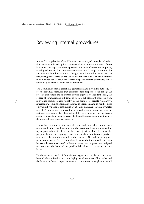### Reviewing internal procedures

A one-off spring cleaning of the EU statute book would, of course, be redundant if it were not followed up by a sustained change in attitude towards future legislation. This paper has already presented a number of procedural proposals, notably related to the Commission's annual work programme and the Parliament's handling of the EU budget, which would go some way to introducing new checks on legislative incontinence. But each EU institution should endeavour to introduce a series of specific internal procedures which would help to eliminate unwarranted initiatives.

The Commission should establish a central mechanism with the authority to block individual measures that commissioners propose to the college. At present, even under the reinforced powers enjoyed by President Prodi, the college of commissioners still tends to tolerate sub-standard proposals from individual commissioners, usually in the name of collegiate 'solidarity'. Interestingly, commissioners seem inclined to engage in hand-to-hand combat only when key national sensitivities are at stake. The recent internal wrangles over the Commission's proposal for the liberalisation of postal services, for instance, were entirely based on national divisions (in which the two French commissioners, from very different ideological backgrounds, fought against the proposal with particular vigour).

Logically, it should be the role of the president of the Commission, supported by the central machinery of the Secretariat General, to amend or reject proposals which have not been well justified. Indeed, one of the purposes behind the ongoing restructuring of the Commission is precisely to reinforce the co-ordinating role of the Secretariat General and so improve policy consistency. The recent scaling down of the interminable meetings between the commissioners' *cabinets* on every new proposal was designed to strengthen the hand of the presidential *cabinet* as a central clearing house.

Yet the record of the Prodi Commission suggests that this lesson has not yet been fully learnt. Prodi should now deploy the full resources of his *cabinet* and the Secretariat General to prevent unnecessary measures coming before the full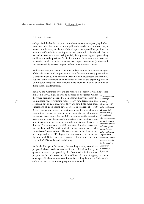college. And the burden of proof on each commissioner in justifying his/her latest new initiative must become significantly heavier. As an alternative, a senior commissioner, ideally one of the vice-presidents, could be appointed to play a specific role in screening each new proposal. If he/she felt that a particular measure was not well justified, the arguments against proceeding could be put to the president for final arbitration. If necessary, the measures in question should be subject to independent impact assessments (business and environmental) by external experts before a final decision is made.

At the same time, the Commission must undertake to include serious analysis of the subsidiarity and proportionality tests for each and every proposal. It is already obliged to include an explanation of how these tests have been met. But the statutory sections on subsidiarity inserted at the beginning of each Commission proposal have become little more than good examples of disingenuous draftsmanship.

Equally, the Commission's annual reports on 'better lawmaking', first initiated in 1992, might as well be disposed of altogether. Whilst they were originally designed to demonstrate how vigorously the Commission was preventing unnecessary new legislation and repealing out-of-date measures, they are now little more than expressions of good intent devoid of real substance. The 1999 Better Lawmaking report, for instance, provided a predictable account of improved consultation procedures, of impact assessment programmes (eg the BEST task force on the impact of legislation on small businesses), of existing treaty protocols and inter-institutional agreements on subsidiarity and legislative drafting,<sup>11</sup> of progress in the SLIM initiative (Simpler Legislation for the Internal Market), and of the increasing use of the Commission's own website. The only measures listed as having been repealed were "13 Regulations concerning the European Agricultural Guidance and Guarantee Fund and fruit and vegetables". Distinctly under-whelming.

As for the European Parliament, the standing scrutiny committee proposed above needs to have sufficient political authority to question measures proposed by the Commission in its annual programme. It could serve as a kind of internal court of appeal, to which other specialised committees could refer for a ruling, before the Parliament's collective view on the annual programme is formed.

*<sup>11</sup> Conclusions of Edinburgh Council, December 1992; Inter-institutional Agreement of October 1993; Protocol of the Amsterdam treaty on the application of the principles of subsidiarity and proportionality; Inter-institutional Agreement of December 1998 on common guidelines for the quality of drafting of Community legislation*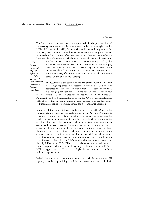The Parliament also needs to take steps to rein in the proliferation of unnecessary and often misguided amendments tabled on draft legislation by MEPs. A former British MEP, Graham Mather, has recently argued that far too many parliamentary amendments are either excessively detailed or presented for discussion well after the matters which they purport to influence have been decided elsewhere.<sup>12</sup> The latter is particularly true for the enormous

number of declaratory reports and resolutions passed by the Parliament about events over which it has no control. For example, the Parliament's report on the EU's negotiating stance in the run-up to the Seattle WTO summit in late 1999 was adopted on 18 November 1999, after the Commission and Council had already agreed on the bulk of their strategy.

The result is that the balance of the Parliament's work has become increasingly lop-sided. An excessive amount of time and effort is dedicated to discussions on highly technical questions, whilst a wide-ranging political debate on the fundamental merits of new measures is lost. Mather calculates, for instance, that in 1997 the European Parliament voted on 4912 amendments of which 3004 were adopted. It is not difficult to see that in such a climate, political discussion on the desirability of European action is too often sacrificed for a technocratic approach. *Lords European Communities Committee, April 2000*

Mather's solution is to establish a body similar to the Table Office in the House of Commons, under the direct authority of the Parliament's president. This body would primarily be responsible for producing judgements on the legality of particular amendments. Ideally, the Table Office could also be asked to submit particularly controversial amendments to impact assessments conducted by external experts. This would provide an essential service since, at present, the majority of MEPs are inclined to draft amendments without the slightest care about their practical consequences. Amendments are often drafted as an act of political showmanship, so that MEPs can demonstrate to their constituents, or to particular pressure groups, that they are living up to their promises. Indeed, some MEPs happily table amendments drafted for them by lobbyists or NGOs. This produces the worst mix of parliamentary influence—power without responsibility. Any mechanism which could force MEPs to appreciate the effects of their legislative amendments would be a welcome improvement.

Indeed, there may be a case for the creation of a single, independent EU agency, capable of providing rapid impact assessments for both draft

*<sup>12</sup> 'The European Parliament— Scope for Reform'. A submission to the House of*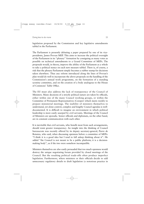legislation proposed by the Commission and key legislative amendments tabled in the Parliament.

The Parliament is presently debating a paper prepared by one of its vicepresidents, James Provan MEP. This aims to increase the political oversight of the Parliament in its "plenary" formation by consigning as many votes as possible on technical amendments to a Grand Committee of MEPs. The proposals would, in theory, improve the ability of the Parliament as a whole to take a political stance on each new measure tabled. There is, of course, a risk that the plenary Parliament simply becomes a rubber stamp for decisions taken elsewhere. Thus any reform introduced along the lines of Provan's plan would do well to incorporate the above proposals on the handling of the Commission's annual work programme, on the formation of a standing scrutiny committee, and on the creation of a body analogous to the House of Commons' Table Office.

The EU must also address the lack of transparency of the Council of Ministers. Many decisions of a strictly political nature are taken by officials, either within one of the many Council working groups, or within the Committee of Permanent Representatives (Coreper) which meets weekly to prepare ministerial meetings. The inability of ministers themselves to understand, yet alone control, complex and lengthy Council agendas is welldocumented. It is difficult to imagine an environment in which political leadership is more easily usurped by civil servants. Meetings of the Council of Ministers are sporadic. Senior officials and diplomats, on the other hand, are in constant communication with each other.

It is inevitable that civil servants, who benefit most from such arrangements, should resist greater transparency. An insight into the thinking of Council bureaucrats was recently offered by its deputy secretary-general, Pierre de Boissieu, who said, when discussing openness before a committee of MEPs: "I think it is a good idea but I tend to fall asleep thinking about it". He added "the Council is not meant to be a public platform; it is a decisionmaking body", as if the two were somehow incompatible.

Ministers themselves are also easily persuaded that too much openness would destroy the unique negotiating forum provided by closed meetings of the Council. But the resulting political trade-offs often produce imperfect legislation. Furthermore, where ministers or their officials decide to add unnecessary regulatory details to draft legislation (a notorious practice in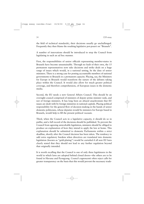the field of technical standards), their decisions usually go unchallenged. Frequently they then blame the resulting legislative pot-pourri on "Brussels".

A number of innovations should be introduced to stop the Council from legislating in such an ad hoc manner.

First, the responsibilities of senior officials representing member-states in Brussels have become unsustainable. Through no fault of their own, the 15 permanent representatives now take decisions and strike deals on a huge range of issues which would, in a national setting, be the duty of senior ministers. There is a strong case for posting accountable members of national governments to Brussels in a permanent capacity. Placing, say, the Ministers for Europe in Brussels would transform the nature of the debates taking place within the Council. It would also allow for much greater political coverage, and therefore comprehension, of European issues in the domestic media.

Second, the EU needs a new General Affairs Council. This should be an oversight council comprised of ministers of deputy prime minister rank, and not of foreign ministers. It has long been an absurd anachronism that EU issues are dealt with by foreign ministries in national capitals. Placing political responsibility for the general flow of decision-making in the hands of senior domestic politicians, whose deputies would be ministers for Europe based in Brussels, would help to fill the present political vacuum.

Third, when the Council acts in a legislative capacity, it should do so in public; and a full record of the decisions should be published. To prevent the Council from agreeing unworkable legislation, ministers should be obliged to produce an explanation of how they intend to apply the law at home. This explanation should be submitted to domestic Parliaments within a strict deadline, shortly after the Council decision has been taken. The tendency to add extra regulatory burdens when directives are translated into domestic legislation (known as "gold-plating") would be curtailed if all new EU laws clearly stated that they should not lead to any further regulation beyond that originally intended.

It is worth recalling that the Council is one of only three legislatures in the world in which laws are adopted behind closed doors—the others are to be found in Havana and Pyongyang. Council cognoscenti often reject calls for greater transparency on the basis that this would prevent the necessary trade-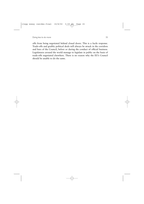offs from being negotiated behind closed doors. This is a facile response. Trade-offs and grubby political deals will always be struck in the corridors and bars of the Council, before or during the conduct of official business. Legislatures around the world manage to legislate in public on the basis of trade-offs negotiated elsewhere. There is no reason why the EU's Council should be unable to do the same.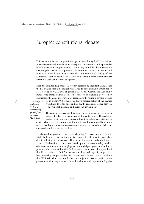# Europe's constitutional debate

This paper has focused on practical ways of streamlining the EU's activities. It has deliberately shunned a more conceptual consideration of the principles of subsidiarity and proportionality. That is why no ink has been wasted on analysing the various treaty protocols, declarations, summit conclusions and inter-institutional agreements devoted to the scope and quality of EU legislation. But there are two wider issues of a constitutional nature which are directly relevant and cannot be ignored.

First, the longstanding proposal, recently restated by President Chirac, that the EU treaties should be radically redrafted to set out exactly which policy areas belong to which level of government. As the Commission has baldly stated "the treaty neither defines the concept of exclusive powers, nor enumerates the areas it covers… Consequently, the Union's powers are not set in stone".<sup>13</sup> It is suggested that a reorganisation of the treaties would help to settle, once-and-for-all, the division of labour between local, regional, national and European government.

*13 Answer given by President Prodi to a parliamentary question from the author, March 2000*

The issue raises a central dilemma. The vast majority of the powers exercised at EU level are shared with member-states. The realm of exclusive EU powers is indeed difficult to define. Any attempt to

clarify who is currently responsible for what would most probably yield an open-ended list of shared competences. Such an outcome would only help blur an already confused picture further.

Yet the need for greater clarity is overwhelming. To make progress, then, it might be better to take an intermediate step rather than aspire towards a definitive listing of competences. This might, for instance, take the form of a treaty declaration stating that certain policy areas—notably health, education, culture, tourism, employment and social policy—are the exclusive province of national authorities. In these areas, any action at European level should be confined to "soft" instruments such as exchange of best practice, bench-marking and peer review. Such action need not even take place within the EU institutions but could be the subject of issue-specific intergovernmental arrangements. Naturally, this would require the highly-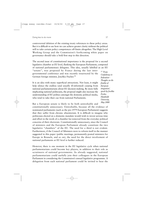controversial deletion of the existing treaty references to these policy areas. But it is difficult to see how we can achieve greater clarity without the political will to take certain policy competences off-limits altogether. The High Level Working Group and the Commission's forthcoming white paper on governance should take a bold first step in this direction.

The second issue of constitutional importance is the proposal for a second legislative chamber at EU level, flanking the European Parliament, composed of national parliamentary delegates. This idea, usually labelled as an EU "senate", was proposed by France during the last intergovernmental conference and was recently resurrected by the German foreign minister, Joschka Fischer.14 *<sup>14</sup> 'From*

It is an idea with many superficial attractions. Not least, it might help silence the endless (and usually ill-informed) carping from national parliamentarians about EU decision-making. By more fully implicating national politicians, the proposal might also increase the understanding of EU politics amongst the domestic political media, who tend to take their cue from national Parliaments.

*Confederacy to Federation— Thoughts on the finality of European integration', speech by Joschka Fischer, Humboldt University, May 2000*

But a European senate is likely to be both unworkable and constitutionally unnecessary. Unworkable, because all the evidence of nominated parliaments (such as the pre-1979 European Parliament) suggests that they suffer from chronic absenteeism. It is difficult to imagine why politicians elected on a domestic mandate would wish to invest serious time and effort in the work of a chamber far-removed from the everyday political concerns of their electorate. Constitutionally unnecessary, since the Council of ministers and the European Parliament already constitute the two legislative "chambers" of the EU. The need for a third is not evident. Furthermore, if the Council of Ministers were to reform itself in the manner suggested in this paper (public meetings, permanently-posted ministers for Europe in Brussels, and so on), the need for the direct involvement of national parliaments at EU level is further reduced.

However, there is one moment in the EU legislative cycle when national parliamentarians could become key players, in addition to their role as scrutineers of national governments. As already suggested, national parliamentarians could usefully join their colleagues in the European Parliament in considering the Commission's annual legislative programme. A delegation from each national parliament could be invited to hear the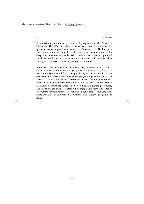Commission's presentation of its annual programme to the European Parliament. The MPs could then be invited to pronounce on whether the specific measures proposed were justifiable at European level. The European Parliament would be obliged to take their views into account. If the delegations of national MPs collectively considered that a particular proposal failed the subsidiarity test, the European Parliament would be expected to vote against it unless it had strong reasons not to do so.

In this way, national MPs would be able to play an active role at the most crucial moment in the legislative cycle, when the Commission first seeks parliamentary approval for its proposals. By asking national MPs to participate in a clearly defined role, once a year, in a high-profile debate, the chances of their doing so in a committed manner would be enhanced. Naturally, a great deal of thought would need to be devoted to the detailed mechanics by which the national MPs would operate (voting procedures, and so on), but the principle is clear. Whilst there is little merit in the idea of a new, third chamber composed of national MPs, the case for involving them in the annual debate and vote on the Commission's legislative programme is strong.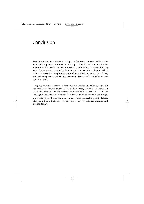clegg essay insides.final  $30/8/00$  5:59 pm Page 39

# Conclusion

*Reculer pour mieux sauter*—retreating in order to move forward—lies at the heart of the proposals made in this paper. The EU is in a muddle. Its institutions are over-stretched, unloved and rudderless. The breathtaking pace of integration over the last half century has inevitably taken its toll. It is time to pause for thought and undertake a critical review of the policies, tasks and competences which have accumulated since the Treaty of Rome was signed in 1957.

Stripping away those measures that have not worked at EU level, or should not have been elevated to the EU in the first place, should not be regarded as a destructive act. On the contrary, it should help re-establish the efficacy and legitimacy of the EU institutions. A failure to do so would make it nighimpossible for the EU to strike out in new, justified directions in the future. That would be a high price to pay tomorrow for political timidity and inaction today.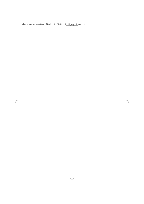clegg essay insides.final  $30/8/00$  5:59 pm Page 40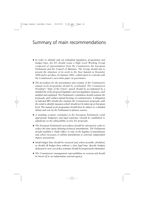### Summary of main recommendations

- ★ *In order to identify and cut redundant legislation, programmes and budget lines, the EU should create a High Level Working Group composed of representatives from the Commission, the European Parliament and the Council of Ministers. The Group should aim to present the objectives of its work to the Nice Summit in December 2000 and to produce, by Summer 2001, a final report to coincide with the Commission's own white paper on governance.*
- ★ *The procedures for the presentation and scrutiny of the Commission's annual work programme should be overhauled. The Commission President's "State of the Union" speech should be accompanied by a detailed list of the proposed legislative and non-legislative measures, each justified and explained. The Parliament's committees should examine the proposals, and conduct annual hearings of commissioners. A delegation of national MPs should also examine the Commission's proposals, with the remit to identify measures which should not be taken up at European level. The annual work programme should then be subject to a detailed debate and vote by the Parliament in plenary session.*
- ★ *A standing scrutiny committee in the European Parliament—with appropriate budgetary and legal expertise—should be established to adjudicate on the admissibility of new EU proposals.*
- ★ *The European Parliament's procedures should be reformed in order to reduce the time spent debating technical amendments. The Parliament should establish a 'Table Office' to rule on the legality of amendments and, where necessary, to submit amendments to external, independent impact assessments.*
- ★ *Small budget lines should be reviewed and, where possible, abolished, as should all budget lines without a clear legal base. Specific budgets dedicated to non-core policy activities should be progressively eliminated.*
- ★ *The Commission's management responsibilities in overseas aid should be hived off to an independent external agency.*